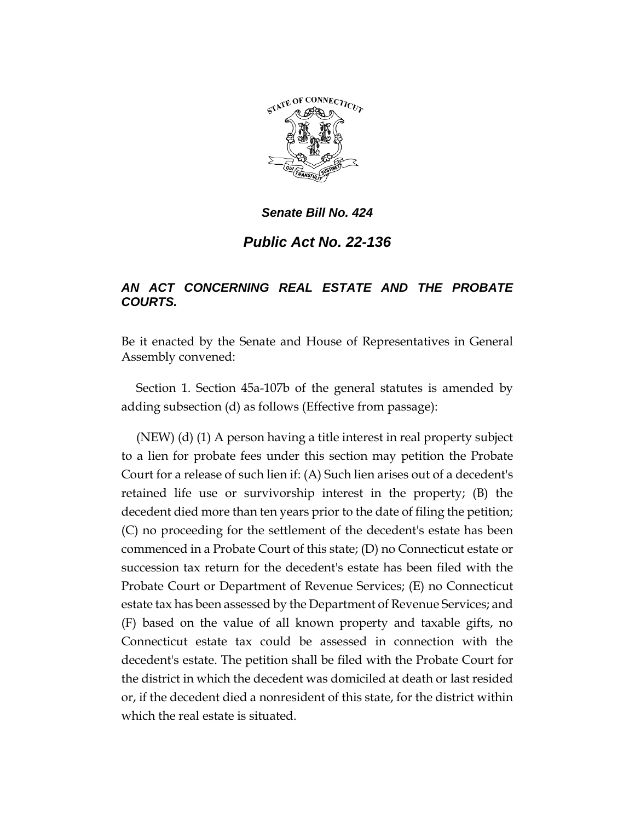

## *Public Act No. 22-136*

### *AN ACT CONCERNING REAL ESTATE AND THE PROBATE COURTS.*

Be it enacted by the Senate and House of Representatives in General Assembly convened:

Section 1. Section 45a-107b of the general statutes is amended by adding subsection (d) as follows (Effective from passage):

(NEW) (d) (1) A person having a title interest in real property subject to a lien for probate fees under this section may petition the Probate Court for a release of such lien if: (A) Such lien arises out of a decedent's retained life use or survivorship interest in the property; (B) the decedent died more than ten years prior to the date of filing the petition; (C) no proceeding for the settlement of the decedent's estate has been commenced in a Probate Court of this state; (D) no Connecticut estate or succession tax return for the decedent's estate has been filed with the Probate Court or Department of Revenue Services; (E) no Connecticut estate tax has been assessed by the Department of Revenue Services; and (F) based on the value of all known property and taxable gifts, no Connecticut estate tax could be assessed in connection with the decedent's estate. The petition shall be filed with the Probate Court for the district in which the decedent was domiciled at death or last resided or, if the decedent died a nonresident of this state, for the district within which the real estate is situated.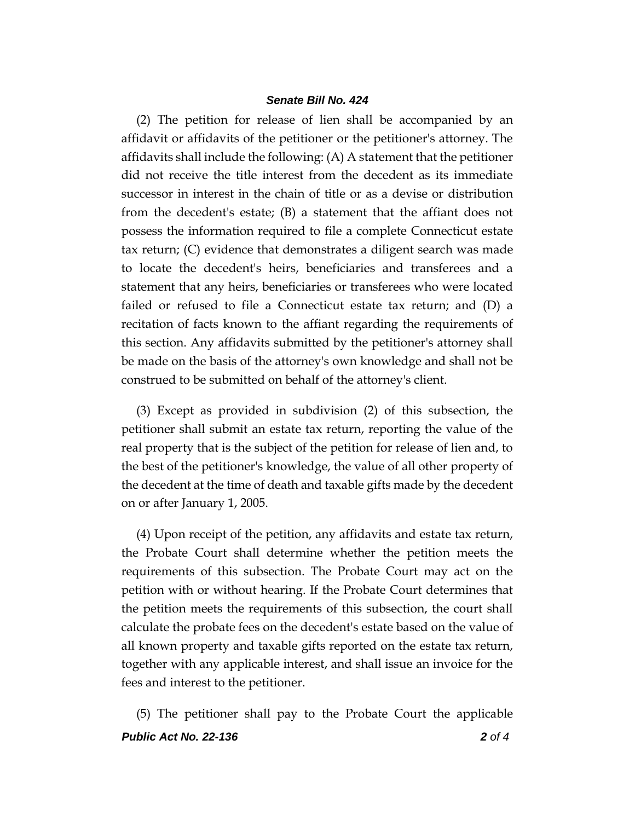(2) The petition for release of lien shall be accompanied by an affidavit or affidavits of the petitioner or the petitioner's attorney. The affidavits shall include the following: (A) A statement that the petitioner did not receive the title interest from the decedent as its immediate successor in interest in the chain of title or as a devise or distribution from the decedent's estate; (B) a statement that the affiant does not possess the information required to file a complete Connecticut estate tax return; (C) evidence that demonstrates a diligent search was made to locate the decedent's heirs, beneficiaries and transferees and a statement that any heirs, beneficiaries or transferees who were located failed or refused to file a Connecticut estate tax return; and (D) a recitation of facts known to the affiant regarding the requirements of this section. Any affidavits submitted by the petitioner's attorney shall be made on the basis of the attorney's own knowledge and shall not be construed to be submitted on behalf of the attorney's client.

(3) Except as provided in subdivision (2) of this subsection, the petitioner shall submit an estate tax return, reporting the value of the real property that is the subject of the petition for release of lien and, to the best of the petitioner's knowledge, the value of all other property of the decedent at the time of death and taxable gifts made by the decedent on or after January 1, 2005.

(4) Upon receipt of the petition, any affidavits and estate tax return, the Probate Court shall determine whether the petition meets the requirements of this subsection. The Probate Court may act on the petition with or without hearing. If the Probate Court determines that the petition meets the requirements of this subsection, the court shall calculate the probate fees on the decedent's estate based on the value of all known property and taxable gifts reported on the estate tax return, together with any applicable interest, and shall issue an invoice for the fees and interest to the petitioner.

*Public Act No. 22-136 2 of 4* (5) The petitioner shall pay to the Probate Court the applicable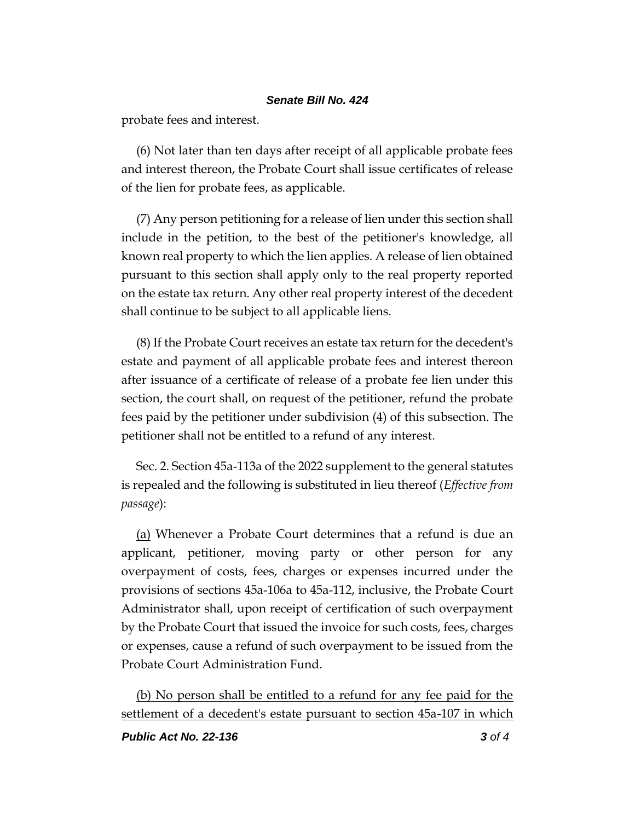probate fees and interest.

(6) Not later than ten days after receipt of all applicable probate fees and interest thereon, the Probate Court shall issue certificates of release of the lien for probate fees, as applicable.

(7) Any person petitioning for a release of lien under this section shall include in the petition, to the best of the petitioner's knowledge, all known real property to which the lien applies. A release of lien obtained pursuant to this section shall apply only to the real property reported on the estate tax return. Any other real property interest of the decedent shall continue to be subject to all applicable liens.

(8) If the Probate Court receives an estate tax return for the decedent's estate and payment of all applicable probate fees and interest thereon after issuance of a certificate of release of a probate fee lien under this section, the court shall, on request of the petitioner, refund the probate fees paid by the petitioner under subdivision (4) of this subsection. The petitioner shall not be entitled to a refund of any interest.

Sec. 2. Section 45a-113a of the 2022 supplement to the general statutes is repealed and the following is substituted in lieu thereof (*Effective from passage*):

(a) Whenever a Probate Court determines that a refund is due an applicant, petitioner, moving party or other person for any overpayment of costs, fees, charges or expenses incurred under the provisions of sections 45a-106a to 45a-112, inclusive, the Probate Court Administrator shall, upon receipt of certification of such overpayment by the Probate Court that issued the invoice for such costs, fees, charges or expenses, cause a refund of such overpayment to be issued from the Probate Court Administration Fund.

(b) No person shall be entitled to a refund for any fee paid for the settlement of a decedent's estate pursuant to section 45a-107 in which